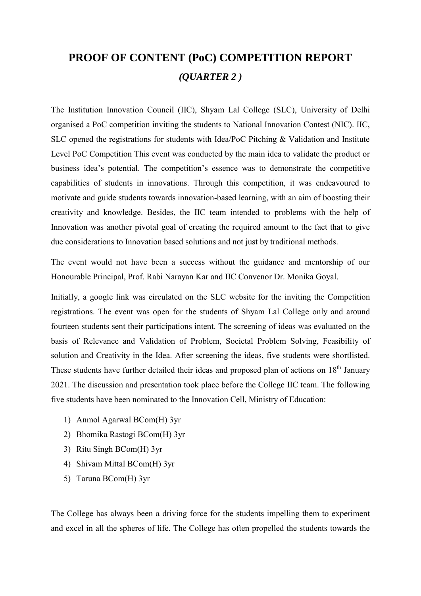## **PROOF OF CONTENT (PoC) COMPETITION REPORT**  *(QUARTER 2 )*

The Institution Innovation Council (IIC), Shyam Lal College (SLC), University of Delhi organised a PoC competition inviting the students to National Innovation Contest (NIC). IIC, SLC opened the registrations for students with Idea/PoC Pitching & Validation and Institute Level PoC Competition This event was conducted by the main idea to validate the product or business idea's potential. The competition's essence was to demonstrate the competitive capabilities of students in innovations. Through this competition, it was endeavoured to motivate and guide students towards innovation-based learning, with an aim of boosting their creativity and knowledge. Besides, the IIC team intended to problems with the help of Innovation was another pivotal goal of creating the required amount to the fact that to give due considerations to Innovation based solutions and not just by traditional methods.

The event would not have been a success without the guidance and mentorship of our Honourable Principal, Prof. Rabi Narayan Kar and IIC Convenor Dr. Monika Goyal.

Initially, a google link was circulated on the SLC website for the inviting the Competition registrations. The event was open for the students of Shyam Lal College only and around fourteen students sent their participations intent. The screening of ideas was evaluated on the basis of Relevance and Validation of Problem, Societal Problem Solving, Feasibility of solution and Creativity in the Idea. After screening the ideas, five students were shortlisted. These students have further detailed their ideas and proposed plan of actions on  $18<sup>th</sup>$  January 2021. The discussion and presentation took place before the College IIC team. The following five students have been nominated to the Innovation Cell, Ministry of Education:

- 1) Anmol Agarwal BCom(H) 3yr
- 2) Bhomika Rastogi BCom(H) 3yr
- 3) Ritu Singh BCom(H) 3yr
- 4) Shivam Mittal BCom(H) 3yr
- 5) Taruna BCom(H) 3yr

The College has always been a driving force for the students impelling them to experiment and excel in all the spheres of life. The College has often propelled the students towards the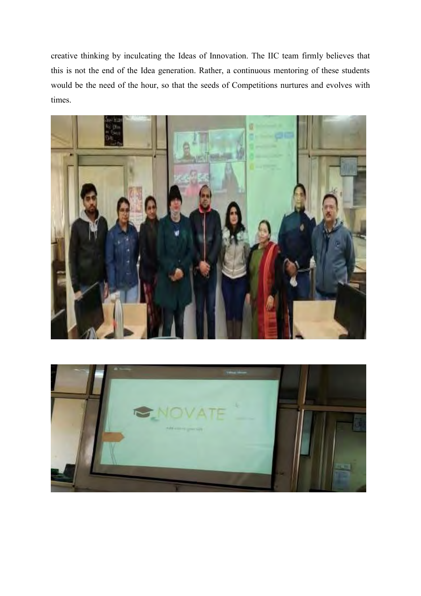creative thinking by inculcating the Ideas of Innovation. The IIC team firmly believes that this is not the end of the Idea generation. Rather, a continuous mentoring of these students would be the need of the hour, so that the seeds of Competitions nurtures and evolves with times.



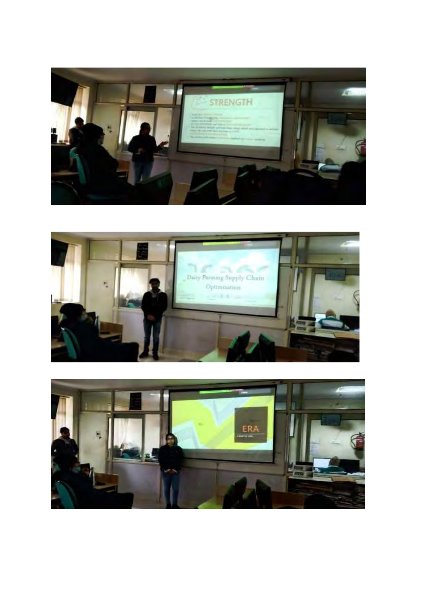